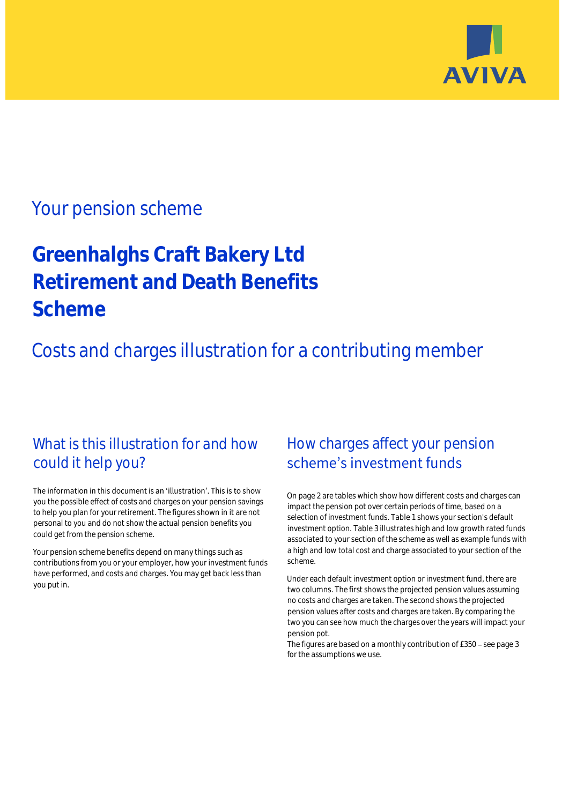

## Your pension scheme

# **Greenhalghs Craft Bakery Ltd Retirement and Death Benefits Scheme**

Costs and charges illustration for a contributing member

### What is this illustration for and how could it help you?

#### The information in this document is an 'illustration'. This is to show you the possible effect of costs and charges on your pension savings to help you plan for your retirement. The figures shown in it are not personal to you and do not show the actual pension benefits you could get from the pension scheme.

Your pension scheme benefits depend on many things such as contributions from you or your employer, how your investment funds have performed, and costs and charges. You may get back less than you put in.

### How charges affect your pension scheme's investment funds

On page 2 are tables which show how different costs and charges can impact the pension pot over certain periods of time, based on a selection of investment funds. Table 1 shows your section's default investment option. Table 3 illustrates high and low growth rated funds associated to your section of the scheme as well as example funds with a high and low total cost and charge associated to your section of the scheme.

Under each default investment option or investment fund, there are two columns. The first shows the projected pension values assuming no costs and charges are taken. The second shows the projected pension values after costs and charges are taken. By comparing the two you can see how much the charges over the years will impact your pension pot.

The figures are based on a monthly contribution of  $£350 -$  see page 3 for the assumptions we use.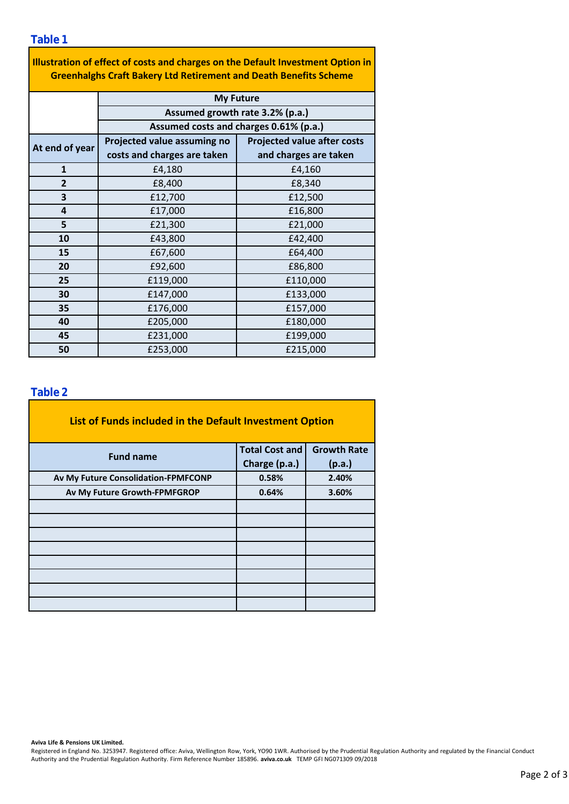**Table 1**

| Illustration of effect of costs and charges on the Default Investment Option in |
|---------------------------------------------------------------------------------|
| <b>Greenhalghs Craft Bakery Ltd Retirement and Death Benefits Scheme</b>        |

|                | <b>My Future</b>                                                          |                                    |  |  |  |  |  |
|----------------|---------------------------------------------------------------------------|------------------------------------|--|--|--|--|--|
|                | Assumed growth rate 3.2% (p.a.)<br>Assumed costs and charges 0.61% (p.a.) |                                    |  |  |  |  |  |
|                |                                                                           |                                    |  |  |  |  |  |
| At end of year | Projected value assuming no                                               | <b>Projected value after costs</b> |  |  |  |  |  |
|                | costs and charges are taken                                               | and charges are taken              |  |  |  |  |  |
| $\mathbf{1}$   | £4,180                                                                    | £4,160                             |  |  |  |  |  |
| $\overline{2}$ | £8,400                                                                    | £8,340                             |  |  |  |  |  |
| 3              | £12,700                                                                   | £12,500                            |  |  |  |  |  |
| 4              | £17,000                                                                   | £16,800                            |  |  |  |  |  |
| 5              | £21,300                                                                   | £21,000                            |  |  |  |  |  |
| 10             | £43,800                                                                   | £42,400                            |  |  |  |  |  |
| 15             | £67,600                                                                   | £64,400                            |  |  |  |  |  |
| 20             | £92,600                                                                   | £86,800                            |  |  |  |  |  |
| 25             | £119,000                                                                  | £110,000                           |  |  |  |  |  |
| 30             | £147,000                                                                  | £133,000                           |  |  |  |  |  |
| 35             | £176,000                                                                  | £157,000                           |  |  |  |  |  |
| 40             | £205,000<br>£180,000                                                      |                                    |  |  |  |  |  |
| 45             | £231,000<br>£199,000                                                      |                                    |  |  |  |  |  |
| 50             | £253,000                                                                  | £215,000                           |  |  |  |  |  |

### **Table 2**

| List of Funds included in the Default Investment Option |                       |                    |  |  |  |  |  |
|---------------------------------------------------------|-----------------------|--------------------|--|--|--|--|--|
| <b>Fund name</b>                                        | <b>Total Cost and</b> | <b>Growth Rate</b> |  |  |  |  |  |
|                                                         | Charge (p.a.)         | (p.a.)             |  |  |  |  |  |
| Av My Future Consolidation-FPMFCONP                     | 0.58%                 | 2.40%              |  |  |  |  |  |
| Av My Future Growth-FPMFGROP                            | 0.64%                 | 3.60%              |  |  |  |  |  |
|                                                         |                       |                    |  |  |  |  |  |
|                                                         |                       |                    |  |  |  |  |  |
|                                                         |                       |                    |  |  |  |  |  |
|                                                         |                       |                    |  |  |  |  |  |
|                                                         |                       |                    |  |  |  |  |  |
|                                                         |                       |                    |  |  |  |  |  |
|                                                         |                       |                    |  |  |  |  |  |
|                                                         |                       |                    |  |  |  |  |  |

**Aviva Life & Pensions UK Limited.**

Registered in England No. 3253947. Registered office: Aviva, Wellington Row, York, YO90 1WR. Authorised by the Prudential Regulation Authority and regulated by the Financial Conduct Authority and the Prudential Regulation Authority. Firm Reference Number 185896. **aviva.co.uk** TEMP GFI NG071309 09/2018